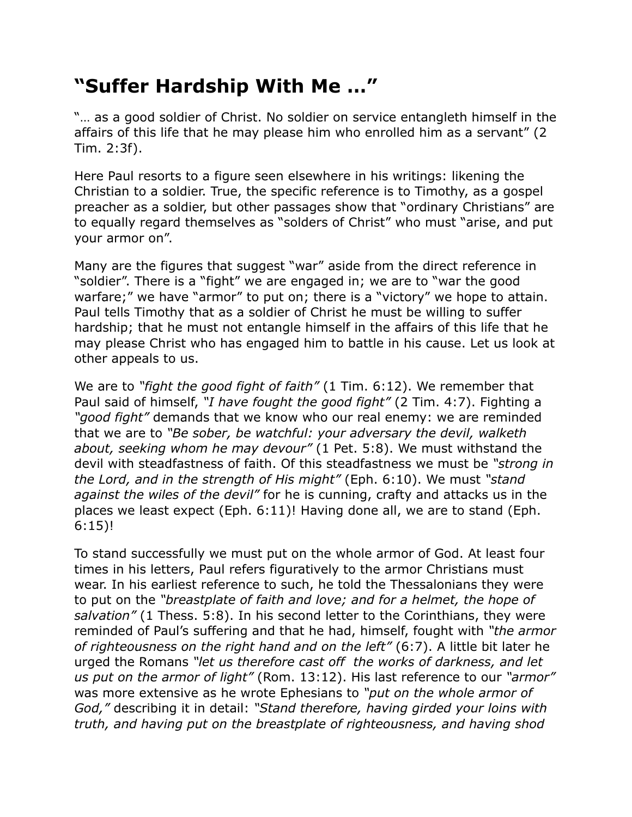## **"Suffer Hardship With Me …"**

"… as a good soldier of Christ. No soldier on service entangleth himself in the affairs of this life that he may please him who enrolled him as a servant" (2 Tim. 2:3f).

Here Paul resorts to a figure seen elsewhere in his writings: likening the Christian to a soldier. True, the specific reference is to Timothy, as a gospel preacher as a soldier, but other passages show that "ordinary Christians" are to equally regard themselves as "solders of Christ" who must "arise, and put your armor on".

Many are the figures that suggest "war" aside from the direct reference in "soldier". There is a "fight" we are engaged in; we are to "war the good warfare;" we have "armor" to put on; there is a "victory" we hope to attain. Paul tells Timothy that as a soldier of Christ he must be willing to suffer hardship; that he must not entangle himself in the affairs of this life that he may please Christ who has engaged him to battle in his cause. Let us look at other appeals to us.

We are to *"fight the good fight of faith"* (1 Tim. 6:12). We remember that Paul said of himself, *"I have fought the good fight"* (2 Tim. 4:7). Fighting a *"good fight"* demands that we know who our real enemy: we are reminded that we are to *"Be sober, be watchful: your adversary the devil, walketh about, seeking whom he may devour"* (1 Pet. 5:8). We must withstand the devil with steadfastness of faith. Of this steadfastness we must be *"strong in the Lord, and in the strength of His might"* (Eph. 6:10). We must *"stand against the wiles of the devil"* for he is cunning, crafty and attacks us in the places we least expect (Eph. 6:11)! Having done all, we are to stand (Eph. 6:15)!

To stand successfully we must put on the whole armor of God. At least four times in his letters, Paul refers figuratively to the armor Christians must wear. In his earliest reference to such, he told the Thessalonians they were to put on the *"breastplate of faith and love; and for a helmet, the hope of salvation"* (1 Thess. 5:8). In his second letter to the Corinthians, they were reminded of Paul's suffering and that he had, himself, fought with *"the armor of righteousness on the right hand and on the left"* (6:7). A little bit later he urged the Romans *"let us therefore cast off the works of darkness, and let us put on the armor of light"* (Rom. 13:12). His last reference to our *"armor"* was more extensive as he wrote Ephesians to *"put on the whole armor of God,"* describing it in detail: *"Stand therefore, having girded your loins with truth, and having put on the breastplate of righteousness, and having shod*